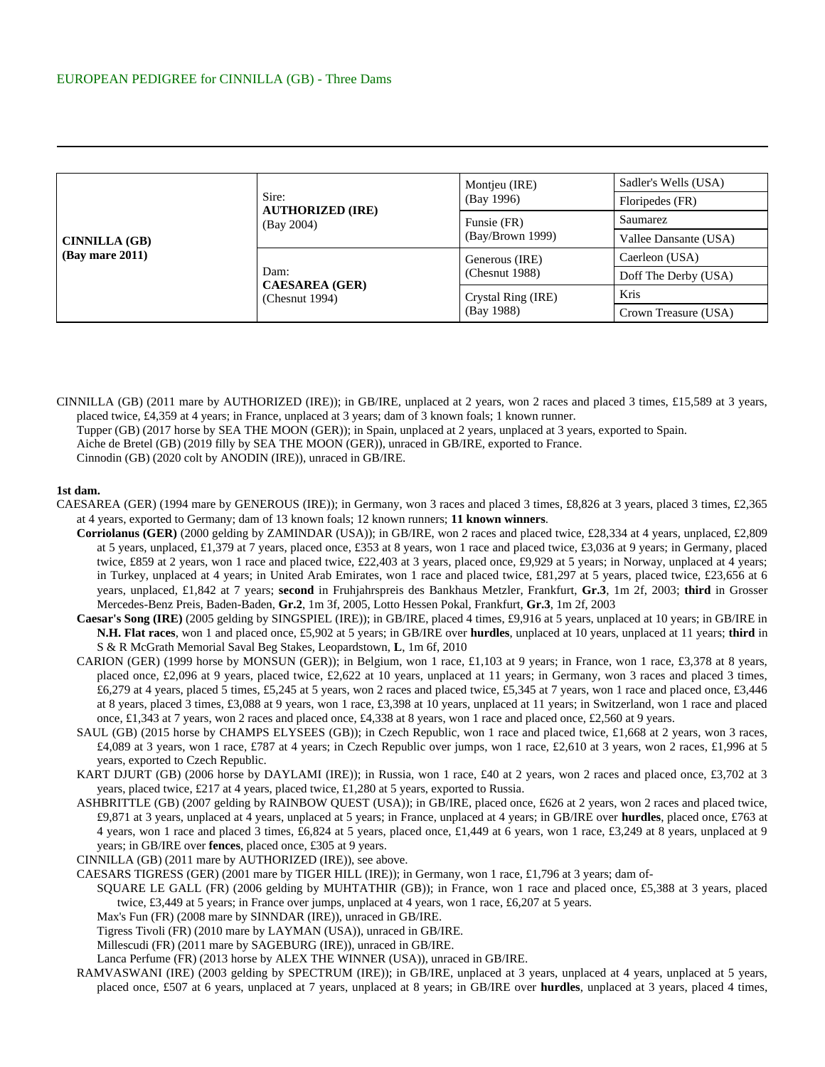| <b>CINNILLA</b> (GB)<br>$(Bav$ mare $2011$ ) | Sire:<br><b>AUTHORIZED (IRE)</b><br>(Bay 2004) | Montjeu (IRE)<br>(Bay 1996)      | Sadler's Wells (USA)  |
|----------------------------------------------|------------------------------------------------|----------------------------------|-----------------------|
|                                              |                                                |                                  | Floripedes (FR)       |
|                                              |                                                | Funsie (FR)<br>(Bay/Brown 1999)  | Saumarez              |
|                                              |                                                |                                  | Vallee Dansante (USA) |
|                                              | Dam:<br><b>CAESAREA</b> (GER)<br>(Chemut 1994) | Generous (IRE)<br>(Chemut 1988)  | Caerleon (USA)        |
|                                              |                                                |                                  | Doff The Derby (USA)  |
|                                              |                                                | Crystal Ring (IRE)<br>(Bay 1988) | Kris                  |
|                                              |                                                |                                  | Crown Treasure (USA)  |

CINNILLA (GB) (2011 mare by AUTHORIZED (IRE)); in GB/IRE, unplaced at 2 years, won 2 races and placed 3 times, £15,589 at 3 years, placed twice, £4,359 at 4 years; in France, unplaced at 3 years; dam of 3 known foals; 1 known runner. Tupper (GB) (2017 horse by SEA THE MOON (GER)); in Spain, unplaced at 2 years, unplaced at 3 years, exported to Spain. Aiche de Bretel (GB) (2019 filly by SEA THE MOON (GER)), unraced in GB/IRE, exported to France. Cinnodin (GB) (2020 colt by ANODIN (IRE)), unraced in GB/IRE.

**1st dam.**

- CAESAREA (GER) (1994 mare by GENEROUS (IRE)); in Germany, won 3 races and placed 3 times, £8,826 at 3 years, placed 3 times, £2,365 at 4 years, exported to Germany; dam of 13 known foals; 12 known runners; **11 known winners**.
	- **Corriolanus (GER)** (2000 gelding by ZAMINDAR (USA)); in GB/IRE, won 2 races and placed twice, £28,334 at 4 years, unplaced, £2,809 at 5 years, unplaced, £1,379 at 7 years, placed once, £353 at 8 years, won 1 race and placed twice, £3,036 at 9 years; in Germany, placed twice, £859 at 2 years, won 1 race and placed twice, £22,403 at 3 years, placed once, £9,929 at 5 years; in Norway, unplaced at 4 years; in Turkey, unplaced at 4 years; in United Arab Emirates, won 1 race and placed twice, £81,297 at 5 years, placed twice, £23,656 at 6 years, unplaced, £1,842 at 7 years; **second** in Fruhjahrspreis des Bankhaus Metzler, Frankfurt, **Gr.3**, 1m 2f, 2003; **third** in Grosser Mercedes-Benz Preis, Baden-Baden, **Gr.2**, 1m 3f, 2005, Lotto Hessen Pokal, Frankfurt, **Gr.3**, 1m 2f, 2003
	- **Caesar's Song (IRE)** (2005 gelding by SINGSPIEL (IRE)); in GB/IRE, placed 4 times, £9,916 at 5 years, unplaced at 10 years; in GB/IRE in **N.H. Flat races**, won 1 and placed once, £5,902 at 5 years; in GB/IRE over **hurdles**, unplaced at 10 years, unplaced at 11 years; **third** in S & R McGrath Memorial Saval Beg Stakes, Leopardstown, **L**, 1m 6f, 2010
	- CARION (GER) (1999 horse by MONSUN (GER)); in Belgium, won 1 race, £1,103 at 9 years; in France, won 1 race, £3,378 at 8 years, placed once, £2,096 at 9 years, placed twice, £2,622 at 10 years, unplaced at 11 years; in Germany, won 3 races and placed 3 times, £6,279 at 4 years, placed 5 times, £5,245 at 5 years, won 2 races and placed twice, £5,345 at 7 years, won 1 race and placed once, £3,446 at 8 years, placed 3 times, £3,088 at 9 years, won 1 race, £3,398 at 10 years, unplaced at 11 years; in Switzerland, won 1 race and placed once, £1,343 at 7 years, won 2 races and placed once, £4,338 at 8 years, won 1 race and placed once, £2,560 at 9 years.
	- SAUL (GB) (2015 horse by CHAMPS ELYSEES (GB)); in Czech Republic, won 1 race and placed twice, £1,668 at 2 years, won 3 races, £4,089 at 3 years, won 1 race, £787 at 4 years; in Czech Republic over jumps, won 1 race, £2,610 at 3 years, won 2 races, £1,996 at 5 years, exported to Czech Republic.
	- KART DJURT (GB) (2006 horse by DAYLAMI (IRE)); in Russia, won 1 race, £40 at 2 years, won 2 races and placed once, £3,702 at 3 years, placed twice, £217 at 4 years, placed twice, £1,280 at 5 years, exported to Russia.
	- ASHBRITTLE (GB) (2007 gelding by RAINBOW QUEST (USA)); in GB/IRE, placed once, £626 at 2 years, won 2 races and placed twice, £9,871 at 3 years, unplaced at 4 years, unplaced at 5 years; in France, unplaced at 4 years; in GB/IRE over **hurdles**, placed once, £763 at 4 years, won 1 race and placed 3 times, £6,824 at 5 years, placed once, £1,449 at 6 years, won 1 race, £3,249 at 8 years, unplaced at 9 years; in GB/IRE over **fences**, placed once, £305 at 9 years.
	- CINNILLA (GB) (2011 mare by AUTHORIZED (IRE)), see above.
	- CAESARS TIGRESS (GER) (2001 mare by TIGER HILL (IRE)); in Germany, won 1 race, £1,796 at 3 years; dam of-
		- SQUARE LE GALL (FR) (2006 gelding by MUHTATHIR (GB)); in France, won 1 race and placed once, £5,388 at 3 years, placed twice, £3,449 at 5 years; in France over jumps, unplaced at 4 years, won 1 race, £6,207 at 5 years.
		- Max's Fun (FR) (2008 mare by SINNDAR (IRE)), unraced in GB/IRE.
		- Tigress Tivoli (FR) (2010 mare by LAYMAN (USA)), unraced in GB/IRE.
		- Millescudi (FR) (2011 mare by SAGEBURG (IRE)), unraced in GB/IRE.
		- Lanca Perfume (FR) (2013 horse by ALEX THE WINNER (USA)), unraced in GB/IRE.
	- RAMVASWANI (IRE) (2003 gelding by SPECTRUM (IRE)); in GB/IRE, unplaced at 3 years, unplaced at 4 years, unplaced at 5 years, placed once, £507 at 6 years, unplaced at 7 years, unplaced at 8 years; in GB/IRE over **hurdles**, unplaced at 3 years, placed 4 times,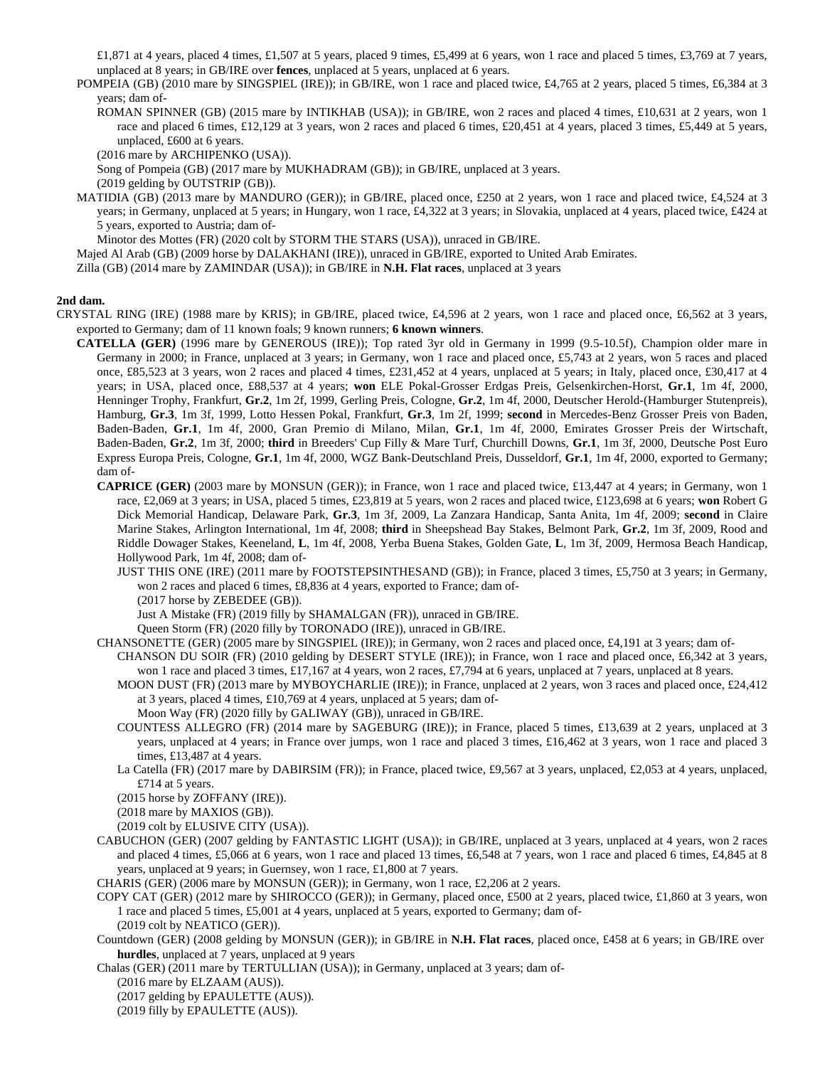£1,871 at 4 years, placed 4 times, £1,507 at 5 years, placed 9 times, £5,499 at 6 years, won 1 race and placed 5 times, £3,769 at 7 years, unplaced at 8 years; in GB/IRE over **fences**, unplaced at 5 years, unplaced at 6 years.

POMPEIA (GB) (2010 mare by SINGSPIEL (IRE)); in GB/IRE, won 1 race and placed twice, £4,765 at 2 years, placed 5 times, £6,384 at 3 years; dam of-

ROMAN SPINNER (GB) (2015 mare by INTIKHAB (USA)); in GB/IRE, won 2 races and placed 4 times, £10,631 at 2 years, won 1 race and placed 6 times, £12,129 at 3 years, won 2 races and placed 6 times, £20,451 at 4 years, placed 3 times, £5,449 at 5 years, unplaced, £600 at 6 years.

(2016 mare by ARCHIPENKO (USA)).

Song of Pompeia (GB) (2017 mare by MUKHADRAM (GB)); in GB/IRE, unplaced at 3 years.

(2019 gelding by OUTSTRIP (GB)).

MATIDIA (GB) (2013 mare by MANDURO (GER)); in GB/IRE, placed once, £250 at 2 years, won 1 race and placed twice, £4,524 at 3 years; in Germany, unplaced at 5 years; in Hungary, won 1 race, £4,322 at 3 years; in Slovakia, unplaced at 4 years, placed twice, £424 at 5 years, exported to Austria; dam of-

Minotor des Mottes (FR) (2020 colt by STORM THE STARS (USA)), unraced in GB/IRE.

Majed Al Arab (GB) (2009 horse by DALAKHANI (IRE)), unraced in GB/IRE, exported to United Arab Emirates.

Zilla (GB) (2014 mare by ZAMINDAR (USA)); in GB/IRE in **N.H. Flat races**, unplaced at 3 years

## **2nd dam.**

- CRYSTAL RING (IRE) (1988 mare by KRIS); in GB/IRE, placed twice, £4,596 at 2 years, won 1 race and placed once, £6,562 at 3 years, exported to Germany; dam of 11 known foals; 9 known runners; **6 known winners**.
	- **CATELLA (GER)** (1996 mare by GENEROUS (IRE)); Top rated 3yr old in Germany in 1999 (9.5-10.5f), Champion older mare in Germany in 2000; in France, unplaced at 3 years; in Germany, won 1 race and placed once, £5,743 at 2 years, won 5 races and placed once, £85,523 at 3 years, won 2 races and placed 4 times, £231,452 at 4 years, unplaced at 5 years; in Italy, placed once, £30,417 at 4 years; in USA, placed once, £88,537 at 4 years; **won** ELE Pokal-Grosser Erdgas Preis, Gelsenkirchen-Horst, **Gr.1**, 1m 4f, 2000, Henninger Trophy, Frankfurt, **Gr.2**, 1m 2f, 1999, Gerling Preis, Cologne, **Gr.2**, 1m 4f, 2000, Deutscher Herold-(Hamburger Stutenpreis), Hamburg, **Gr.3**, 1m 3f, 1999, Lotto Hessen Pokal, Frankfurt, **Gr.3**, 1m 2f, 1999; **second** in Mercedes-Benz Grosser Preis von Baden, Baden-Baden, **Gr.1**, 1m 4f, 2000, Gran Premio di Milano, Milan, **Gr.1**, 1m 4f, 2000, Emirates Grosser Preis der Wirtschaft, Baden-Baden, **Gr.2**, 1m 3f, 2000; **third** in Breeders' Cup Filly & Mare Turf, Churchill Downs, **Gr.1**, 1m 3f, 2000, Deutsche Post Euro Express Europa Preis, Cologne, **Gr.1**, 1m 4f, 2000, WGZ Bank-Deutschland Preis, Dusseldorf, **Gr.1**, 1m 4f, 2000, exported to Germany; dam of-
		- **CAPRICE (GER)** (2003 mare by MONSUN (GER)); in France, won 1 race and placed twice, £13,447 at 4 years; in Germany, won 1 race, £2,069 at 3 years; in USA, placed 5 times, £23,819 at 5 years, won 2 races and placed twice, £123,698 at 6 years; **won** Robert G Dick Memorial Handicap, Delaware Park, **Gr.3**, 1m 3f, 2009, La Zanzara Handicap, Santa Anita, 1m 4f, 2009; **second** in Claire Marine Stakes, Arlington International, 1m 4f, 2008; **third** in Sheepshead Bay Stakes, Belmont Park, **Gr.2**, 1m 3f, 2009, Rood and Riddle Dowager Stakes, Keeneland, **L**, 1m 4f, 2008, Yerba Buena Stakes, Golden Gate, **L**, 1m 3f, 2009, Hermosa Beach Handicap, Hollywood Park, 1m 4f, 2008; dam of-

JUST THIS ONE (IRE) (2011 mare by FOOTSTEPSINTHESAND (GB)); in France, placed 3 times, £5,750 at 3 years; in Germany, won 2 races and placed 6 times, £8,836 at 4 years, exported to France; dam of-

(2017 horse by ZEBEDEE (GB)).

Just A Mistake (FR) (2019 filly by SHAMALGAN (FR)), unraced in GB/IRE.

Queen Storm (FR) (2020 filly by TORONADO (IRE)), unraced in GB/IRE.

CHANSONETTE (GER) (2005 mare by SINGSPIEL (IRE)); in Germany, won 2 races and placed once, £4,191 at 3 years; dam of-CHANSON DU SOIR (FR) (2010 gelding by DESERT STYLE (IRE)); in France, won 1 race and placed once, £6,342 at 3 years,

won 1 race and placed 3 times, £17,167 at 4 years, won 2 races, £7,794 at 6 years, unplaced at 7 years, unplaced at 8 years.

- MOON DUST (FR) (2013 mare by MYBOYCHARLIE (IRE)); in France, unplaced at 2 years, won 3 races and placed once, £24,412 at 3 years, placed 4 times, £10,769 at 4 years, unplaced at 5 years; dam of-
	- Moon Way (FR) (2020 filly by GALIWAY (GB)), unraced in GB/IRE.
- COUNTESS ALLEGRO (FR) (2014 mare by SAGEBURG (IRE)); in France, placed 5 times, £13,639 at 2 years, unplaced at 3 years, unplaced at 4 years; in France over jumps, won 1 race and placed 3 times, £16,462 at 3 years, won 1 race and placed 3 times, £13,487 at 4 years.
- La Catella (FR) (2017 mare by DABIRSIM (FR)); in France, placed twice, £9,567 at 3 years, unplaced, £2,053 at 4 years, unplaced, £714 at 5 years.

(2015 horse by ZOFFANY (IRE)).

(2018 mare by MAXIOS (GB)).

(2019 colt by ELUSIVE CITY (USA)).

- CABUCHON (GER) (2007 gelding by FANTASTIC LIGHT (USA)); in GB/IRE, unplaced at 3 years, unplaced at 4 years, won 2 races and placed 4 times, £5,066 at 6 years, won 1 race and placed 13 times, £6,548 at 7 years, won 1 race and placed 6 times, £4,845 at 8 years, unplaced at 9 years; in Guernsey, won 1 race, £1,800 at 7 years.
- CHARIS (GER) (2006 mare by MONSUN (GER)); in Germany, won 1 race, £2,206 at 2 years.
- COPY CAT (GER) (2012 mare by SHIROCCO (GER)); in Germany, placed once, £500 at 2 years, placed twice, £1,860 at 3 years, won 1 race and placed 5 times, £5,001 at 4 years, unplaced at 5 years, exported to Germany; dam of- (2019 colt by NEATICO (GER)).
- Countdown (GER) (2008 gelding by MONSUN (GER)); in GB/IRE in **N.H. Flat races**, placed once, £458 at 6 years; in GB/IRE over **hurdles**, unplaced at 7 years, unplaced at 9 years

Chalas (GER) (2011 mare by TERTULLIAN (USA)); in Germany, unplaced at 3 years; dam of-

(2016 mare by ELZAAM (AUS)).

(2017 gelding by EPAULETTE (AUS)).

<sup>(2019</sup> filly by EPAULETTE (AUS)).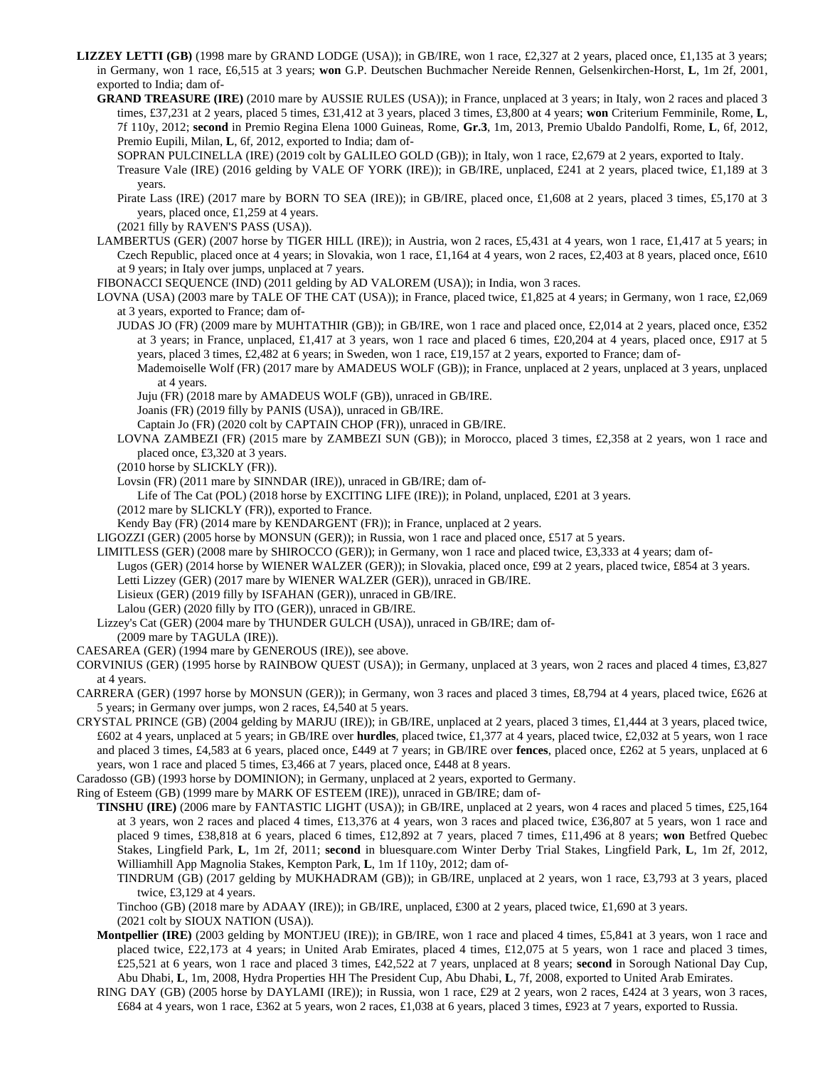- **LIZZEY LETTI (GB)** (1998 mare by GRAND LODGE (USA)); in GB/IRE, won 1 race, £2,327 at 2 years, placed once, £1,135 at 3 years; in Germany, won 1 race, £6,515 at 3 years; **won** G.P. Deutschen Buchmacher Nereide Rennen, Gelsenkirchen-Horst, **L**, 1m 2f, 2001, exported to India; dam of-
	- **GRAND TREASURE (IRE)** (2010 mare by AUSSIE RULES (USA)); in France, unplaced at 3 years; in Italy, won 2 races and placed 3 times, £37,231 at 2 years, placed 5 times, £31,412 at 3 years, placed 3 times, £3,800 at 4 years; **won** Criterium Femminile, Rome, **L**, 7f 110y, 2012; **second** in Premio Regina Elena 1000 Guineas, Rome, **Gr.3**, 1m, 2013, Premio Ubaldo Pandolfi, Rome, **L**, 6f, 2012, Premio Eupili, Milan, **L**, 6f, 2012, exported to India; dam of-

SOPRAN PULCINELLA (IRE) (2019 colt by GALILEO GOLD (GB)); in Italy, won 1 race, £2,679 at 2 years, exported to Italy.

Treasure Vale (IRE) (2016 gelding by VALE OF YORK (IRE)); in GB/IRE, unplaced, £241 at 2 years, placed twice, £1,189 at 3 years.

Pirate Lass (IRE) (2017 mare by BORN TO SEA (IRE)); in GB/IRE, placed once, £1,608 at 2 years, placed 3 times, £5,170 at 3 years, placed once, £1,259 at 4 years.

(2021 filly by RAVEN'S PASS (USA)).

LAMBERTUS (GER) (2007 horse by TIGER HILL (IRE)); in Austria, won 2 races, £5,431 at 4 years, won 1 race, £1,417 at 5 years; in Czech Republic, placed once at 4 years; in Slovakia, won 1 race, £1,164 at 4 years, won 2 races, £2,403 at 8 years, placed once, £610 at 9 years; in Italy over jumps, unplaced at 7 years.

FIBONACCI SEQUENCE (IND) (2011 gelding by AD VALOREM (USA)); in India, won 3 races.

LOVNA (USA) (2003 mare by TALE OF THE CAT (USA)); in France, placed twice, £1,825 at 4 years; in Germany, won 1 race, £2,069 at 3 years, exported to France; dam of-

- JUDAS JO (FR) (2009 mare by MUHTATHIR (GB)); in GB/IRE, won 1 race and placed once, £2,014 at 2 years, placed once, £352 at 3 years; in France, unplaced, £1,417 at 3 years, won 1 race and placed 6 times, £20,204 at 4 years, placed once, £917 at 5 years, placed 3 times, £2,482 at 6 years; in Sweden, won 1 race, £19,157 at 2 years, exported to France; dam of-
	- Mademoiselle Wolf (FR) (2017 mare by AMADEUS WOLF (GB)); in France, unplaced at 2 years, unplaced at 3 years, unplaced at 4 years.
	- Juju (FR) (2018 mare by AMADEUS WOLF (GB)), unraced in GB/IRE.

Joanis (FR) (2019 filly by PANIS (USA)), unraced in GB/IRE.

Captain Jo (FR) (2020 colt by CAPTAIN CHOP (FR)), unraced in GB/IRE.

LOVNA ZAMBEZI (FR) (2015 mare by ZAMBEZI SUN (GB)); in Morocco, placed 3 times, £2,358 at 2 years, won 1 race and placed once, £3,320 at 3 years.

(2010 horse by SLICKLY (FR)).

Lovsin (FR) (2011 mare by SINNDAR (IRE)), unraced in GB/IRE; dam of-

Life of The Cat (POL) (2018 horse by EXCITING LIFE (IRE)); in Poland, unplaced, £201 at 3 years.

(2012 mare by SLICKLY (FR)), exported to France.

Kendy Bay (FR) (2014 mare by KENDARGENT (FR)); in France, unplaced at 2 years.

LIGOZZI (GER) (2005 horse by MONSUN (GER)); in Russia, won 1 race and placed once, £517 at 5 years.

LIMITLESS (GER) (2008 mare by SHIROCCO (GER)); in Germany, won 1 race and placed twice, £3,333 at 4 years; dam of-

Lugos (GER) (2014 horse by WIENER WALZER (GER)); in Slovakia, placed once, £99 at 2 years, placed twice, £854 at 3 years. Letti Lizzey (GER) (2017 mare by WIENER WALZER (GER)), unraced in GB/IRE.

Lisieux (GER) (2019 filly by ISFAHAN (GER)), unraced in GB/IRE.

Lalou (GER) (2020 filly by ITO (GER)), unraced in GB/IRE.

Lizzey's Cat (GER) (2004 mare by THUNDER GULCH (USA)), unraced in GB/IRE; dam of-

(2009 mare by TAGULA (IRE)).

CAESAREA (GER) (1994 mare by GENEROUS (IRE)), see above.

CORVINIUS (GER) (1995 horse by RAINBOW QUEST (USA)); in Germany, unplaced at 3 years, won 2 races and placed 4 times, £3,827 at 4 years.

CARRERA (GER) (1997 horse by MONSUN (GER)); in Germany, won 3 races and placed 3 times, £8,794 at 4 years, placed twice, £626 at 5 years; in Germany over jumps, won 2 races, £4,540 at 5 years.

CRYSTAL PRINCE (GB) (2004 gelding by MARJU (IRE)); in GB/IRE, unplaced at 2 years, placed 3 times, £1,444 at 3 years, placed twice, £602 at 4 years, unplaced at 5 years; in GB/IRE over **hurdles**, placed twice, £1,377 at 4 years, placed twice, £2,032 at 5 years, won 1 race and placed 3 times, £4,583 at 6 years, placed once, £449 at 7 years; in GB/IRE over **fences**, placed once, £262 at 5 years, unplaced at 6 years, won 1 race and placed 5 times, £3,466 at 7 years, placed once, £448 at 8 years.

Caradosso (GB) (1993 horse by DOMINION); in Germany, unplaced at 2 years, exported to Germany.

Ring of Esteem (GB) (1999 mare by MARK OF ESTEEM (IRE)), unraced in GB/IRE; dam of-

**TINSHU (IRE)** (2006 mare by FANTASTIC LIGHT (USA)); in GB/IRE, unplaced at 2 years, won 4 races and placed 5 times, £25,164 at 3 years, won 2 races and placed 4 times, £13,376 at 4 years, won 3 races and placed twice, £36,807 at 5 years, won 1 race and placed 9 times, £38,818 at 6 years, placed 6 times, £12,892 at 7 years, placed 7 times, £11,496 at 8 years; **won** Betfred Quebec Stakes, Lingfield Park, **L**, 1m 2f, 2011; **second** in bluesquare.com Winter Derby Trial Stakes, Lingfield Park, **L**, 1m 2f, 2012, Williamhill App Magnolia Stakes, Kempton Park, **L**, 1m 1f 110y, 2012; dam of-

TINDRUM (GB) (2017 gelding by MUKHADRAM (GB)); in GB/IRE, unplaced at 2 years, won 1 race, £3,793 at 3 years, placed twice, £3,129 at 4 years.

Tinchoo (GB) (2018 mare by ADAAY (IRE)); in GB/IRE, unplaced, £300 at 2 years, placed twice, £1,690 at 3 years. (2021 colt by SIOUX NATION (USA)).

- **Montpellier (IRE)** (2003 gelding by MONTJEU (IRE)); in GB/IRE, won 1 race and placed 4 times, £5,841 at 3 years, won 1 race and placed twice, £22,173 at 4 years; in United Arab Emirates, placed 4 times, £12,075 at 5 years, won 1 race and placed 3 times, £25,521 at 6 years, won 1 race and placed 3 times, £42,522 at 7 years, unplaced at 8 years; **second** in Sorough National Day Cup, Abu Dhabi, **L**, 1m, 2008, Hydra Properties HH The President Cup, Abu Dhabi, **L**, 7f, 2008, exported to United Arab Emirates.
- RING DAY (GB) (2005 horse by DAYLAMI (IRE)); in Russia, won 1 race, £29 at 2 years, won 2 races, £424 at 3 years, won 3 races, £684 at 4 years, won 1 race, £362 at 5 years, won 2 races, £1,038 at 6 years, placed 3 times, £923 at 7 years, exported to Russia.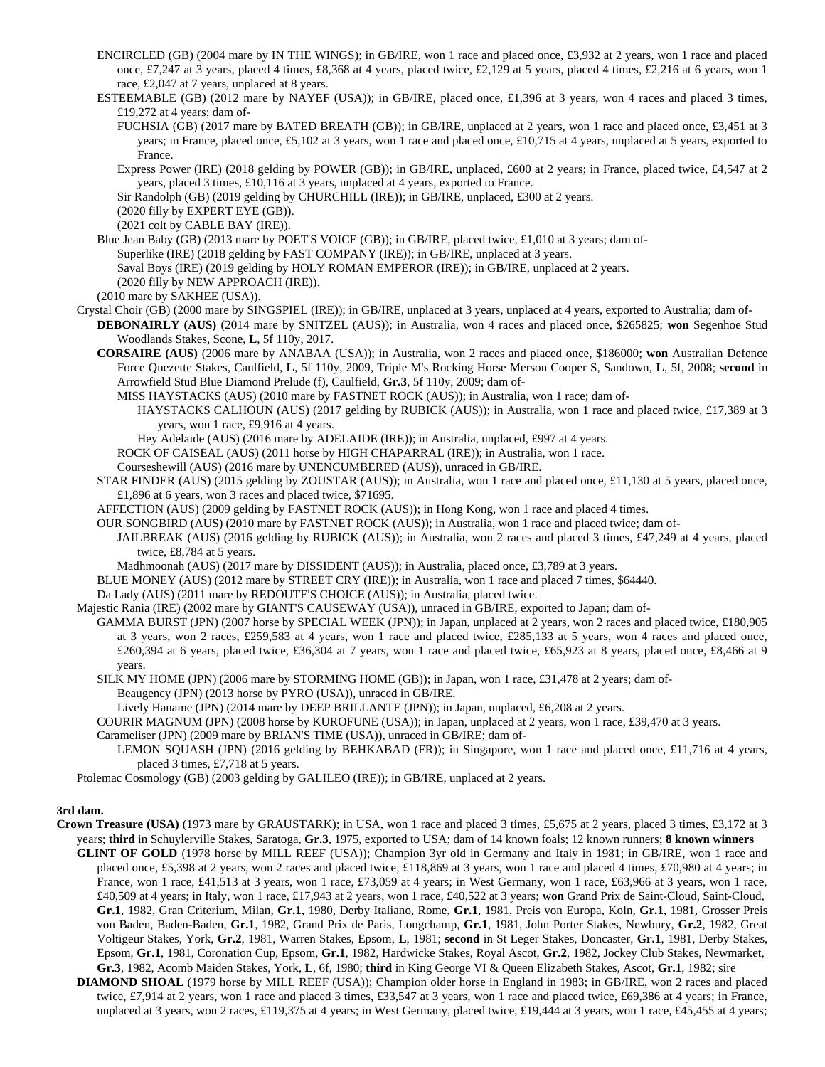- ENCIRCLED (GB) (2004 mare by IN THE WINGS); in GB/IRE, won 1 race and placed once, £3,932 at 2 years, won 1 race and placed once, £7,247 at 3 years, placed 4 times, £8,368 at 4 years, placed twice, £2,129 at 5 years, placed 4 times, £2,216 at 6 years, won 1 race, £2,047 at 7 years, unplaced at 8 years.
- ESTEEMABLE (GB) (2012 mare by NAYEF (USA)); in GB/IRE, placed once, £1,396 at 3 years, won 4 races and placed 3 times, £19,272 at 4 years; dam of-

FUCHSIA (GB) (2017 mare by BATED BREATH (GB)); in GB/IRE, unplaced at 2 years, won 1 race and placed once, £3,451 at 3 years; in France, placed once, £5,102 at 3 years, won 1 race and placed once, £10,715 at 4 years, unplaced at 5 years, exported to France.

Express Power (IRE) (2018 gelding by POWER (GB)); in GB/IRE, unplaced, £600 at 2 years; in France, placed twice, £4,547 at 2 years, placed 3 times, £10,116 at 3 years, unplaced at 4 years, exported to France.

Sir Randolph (GB) (2019 gelding by CHURCHILL (IRE)); in GB/IRE, unplaced, £300 at 2 years.

(2020 filly by EXPERT EYE (GB)).

(2021 colt by CABLE BAY (IRE)).

Blue Jean Baby (GB) (2013 mare by POET'S VOICE (GB)); in GB/IRE, placed twice, £1,010 at 3 years; dam of-Superlike (IRE) (2018 gelding by FAST COMPANY (IRE)); in GB/IRE, unplaced at 3 years. Saval Boys (IRE) (2019 gelding by HOLY ROMAN EMPEROR (IRE)); in GB/IRE, unplaced at 2 years. (2020 filly by NEW APPROACH (IRE)).

- (2010 mare by SAKHEE (USA)).
- Crystal Choir (GB) (2000 mare by SINGSPIEL (IRE)); in GB/IRE, unplaced at 3 years, unplaced at 4 years, exported to Australia; dam of-**DEBONAIRLY (AUS)** (2014 mare by SNITZEL (AUS)); in Australia, won 4 races and placed once, \$265825; **won** Segenhoe Stud Woodlands Stakes, Scone, **L**, 5f 110y, 2017.
	- **CORSAIRE (AUS)** (2006 mare by ANABAA (USA)); in Australia, won 2 races and placed once, \$186000; **won** Australian Defence Force Quezette Stakes, Caulfield, **L**, 5f 110y, 2009, Triple M's Rocking Horse Merson Cooper S, Sandown, **L**, 5f, 2008; **second** in Arrowfield Stud Blue Diamond Prelude (f), Caulfield, **Gr.3**, 5f 110y, 2009; dam of-
		- MISS HAYSTACKS (AUS) (2010 mare by FASTNET ROCK (AUS)); in Australia, won 1 race; dam of-

HAYSTACKS CALHOUN (AUS) (2017 gelding by RUBICK (AUS)); in Australia, won 1 race and placed twice, £17,389 at 3 years, won 1 race, £9,916 at 4 years.

Hey Adelaide (AUS) (2016 mare by ADELAIDE (IRE)); in Australia, unplaced, £997 at 4 years.

ROCK OF CAISEAL (AUS) (2011 horse by HIGH CHAPARRAL (IRE)); in Australia, won 1 race.

Courseshewill (AUS) (2016 mare by UNENCUMBERED (AUS)), unraced in GB/IRE.

STAR FINDER (AUS) (2015 gelding by ZOUSTAR (AUS)); in Australia, won 1 race and placed once, £11,130 at 5 years, placed once, £1,896 at 6 years, won 3 races and placed twice, \$71695.

AFFECTION (AUS) (2009 gelding by FASTNET ROCK (AUS)); in Hong Kong, won 1 race and placed 4 times.

OUR SONGBIRD (AUS) (2010 mare by FASTNET ROCK (AUS)); in Australia, won 1 race and placed twice; dam of-

JAILBREAK (AUS) (2016 gelding by RUBICK (AUS)); in Australia, won 2 races and placed 3 times, £47,249 at 4 years, placed twice, £8,784 at 5 years.

- Madhmoonah (AUS) (2017 mare by DISSIDENT (AUS)); in Australia, placed once, £3,789 at 3 years.
- BLUE MONEY (AUS) (2012 mare by STREET CRY (IRE)); in Australia, won 1 race and placed 7 times, \$64440.

Da Lady (AUS) (2011 mare by REDOUTE'S CHOICE (AUS)); in Australia, placed twice.

Majestic Rania (IRE) (2002 mare by GIANT'S CAUSEWAY (USA)), unraced in GB/IRE, exported to Japan; dam of-

GAMMA BURST (JPN) (2007 horse by SPECIAL WEEK (JPN)); in Japan, unplaced at 2 years, won 2 races and placed twice, £180,905 at 3 years, won 2 races, £259,583 at 4 years, won 1 race and placed twice, £285,133 at 5 years, won 4 races and placed once, £260,394 at 6 years, placed twice, £36,304 at 7 years, won 1 race and placed twice, £65,923 at 8 years, placed once, £8,466 at 9 years.

SILK MY HOME (JPN) (2006 mare by STORMING HOME (GB)); in Japan, won 1 race, £31,478 at 2 years; dam of-Beaugency (JPN) (2013 horse by PYRO (USA)), unraced in GB/IRE.

Lively Haname (JPN) (2014 mare by DEEP BRILLANTE (JPN)); in Japan, unplaced, £6,208 at 2 years.

COURIR MAGNUM (JPN) (2008 horse by KUROFUNE (USA)); in Japan, unplaced at 2 years, won 1 race, £39,470 at 3 years.

Carameliser (JPN) (2009 mare by BRIAN'S TIME (USA)), unraced in GB/IRE; dam of-

LEMON SQUASH (JPN) (2016 gelding by BEHKABAD (FR)); in Singapore, won 1 race and placed once, £11,716 at 4 years, placed 3 times, £7,718 at 5 years.

Ptolemac Cosmology (GB) (2003 gelding by GALILEO (IRE)); in GB/IRE, unplaced at 2 years.

## **3rd dam.**

**Crown Treasure (USA)** (1973 mare by GRAUSTARK); in USA, won 1 race and placed 3 times, £5,675 at 2 years, placed 3 times, £3,172 at 3 years; **third** in Schuylerville Stakes, Saratoga, **Gr.3**, 1975, exported to USA; dam of 14 known foals; 12 known runners; **8 known winners**

**GLINT OF GOLD** (1978 horse by MILL REEF (USA)); Champion 3yr old in Germany and Italy in 1981; in GB/IRE, won 1 race and placed once, £5,398 at 2 years, won 2 races and placed twice, £118,869 at 3 years, won 1 race and placed 4 times, £70,980 at 4 years; in France, won 1 race, £41,513 at 3 years, won 1 race, £73,059 at 4 years; in West Germany, won 1 race, £63,966 at 3 years, won 1 race, £40,509 at 4 years; in Italy, won 1 race, £17,943 at 2 years, won 1 race, £40,522 at 3 years; **won** Grand Prix de Saint-Cloud, Saint-Cloud, **Gr.1**, 1982, Gran Criterium, Milan, **Gr.1**, 1980, Derby Italiano, Rome, **Gr.1**, 1981, Preis von Europa, Koln, **Gr.1**, 1981, Grosser Preis von Baden, Baden-Baden, **Gr.1**, 1982, Grand Prix de Paris, Longchamp, **Gr.1**, 1981, John Porter Stakes, Newbury, **Gr.2**, 1982, Great Voltigeur Stakes, York, **Gr.2**, 1981, Warren Stakes, Epsom, **L**, 1981; **second** in St Leger Stakes, Doncaster, **Gr.1**, 1981, Derby Stakes, Epsom, **Gr.1**, 1981, Coronation Cup, Epsom, **Gr.1**, 1982, Hardwicke Stakes, Royal Ascot, **Gr.2**, 1982, Jockey Club Stakes, Newmarket, **Gr.3**, 1982, Acomb Maiden Stakes, York, **L**, 6f, 1980; **third** in King George VI & Queen Elizabeth Stakes, Ascot, **Gr.1**, 1982; sire

**DIAMOND SHOAL** (1979 horse by MILL REEF (USA)); Champion older horse in England in 1983; in GB/IRE, won 2 races and placed twice, £7,914 at 2 years, won 1 race and placed 3 times, £33,547 at 3 years, won 1 race and placed twice, £69,386 at 4 years; in France, unplaced at 3 years, won 2 races, £119,375 at 4 years; in West Germany, placed twice, £19,444 at 3 years, won 1 race, £45,455 at 4 years;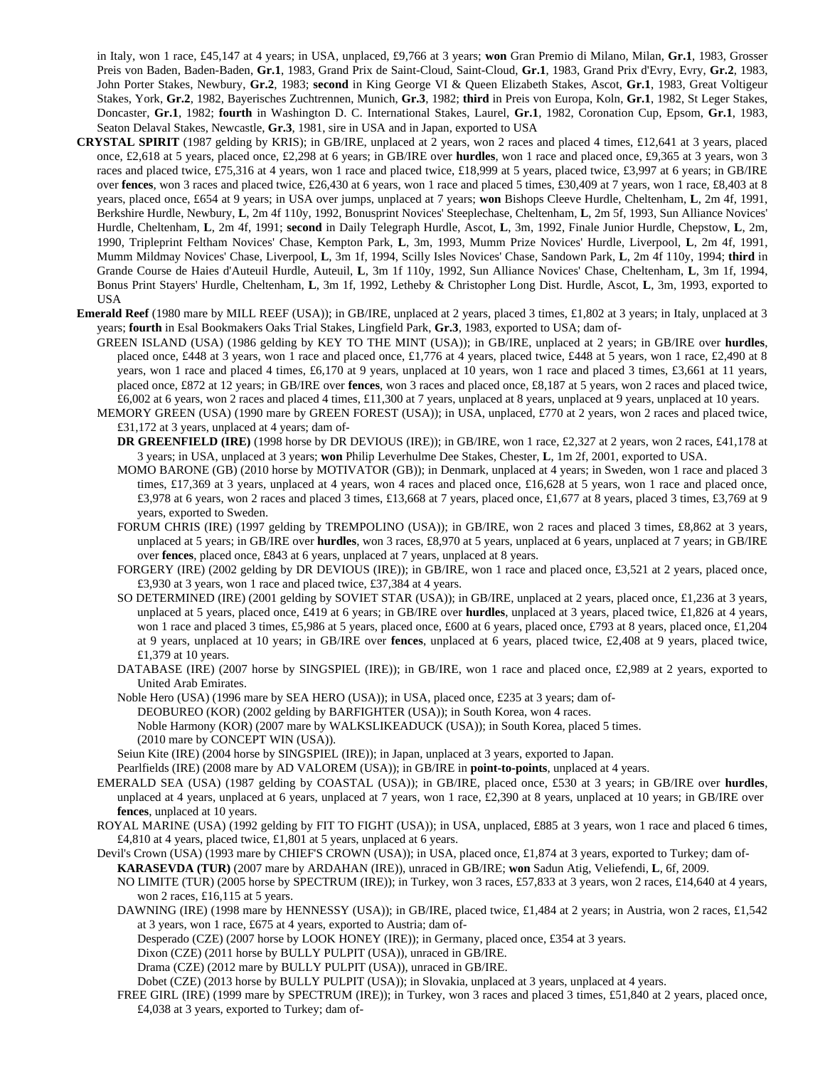in Italy, won 1 race, £45,147 at 4 years; in USA, unplaced, £9,766 at 3 years; **won** Gran Premio di Milano, Milan, **Gr.1**, 1983, Grosser Preis von Baden, Baden-Baden, **Gr.1**, 1983, Grand Prix de Saint-Cloud, Saint-Cloud, **Gr.1**, 1983, Grand Prix d'Evry, Evry, **Gr.2**, 1983, John Porter Stakes, Newbury, **Gr.2**, 1983; **second** in King George VI & Queen Elizabeth Stakes, Ascot, **Gr.1**, 1983, Great Voltigeur Stakes, York, **Gr.2**, 1982, Bayerisches Zuchtrennen, Munich, **Gr.3**, 1982; **third** in Preis von Europa, Koln, **Gr.1**, 1982, St Leger Stakes, Doncaster, **Gr.1**, 1982; **fourth** in Washington D. C. International Stakes, Laurel, **Gr.1**, 1982, Coronation Cup, Epsom, **Gr.1**, 1983, Seaton Delaval Stakes, Newcastle, **Gr.3**, 1981, sire in USA and in Japan, exported to USA

- **CRYSTAL SPIRIT** (1987 gelding by KRIS); in GB/IRE, unplaced at 2 years, won 2 races and placed 4 times, £12,641 at 3 years, placed once, £2,618 at 5 years, placed once, £2,298 at 6 years; in GB/IRE over **hurdles**, won 1 race and placed once, £9,365 at 3 years, won 3 races and placed twice, £75,316 at 4 years, won 1 race and placed twice, £18,999 at 5 years, placed twice, £3,997 at 6 years; in GB/IRE over **fences**, won 3 races and placed twice, £26,430 at 6 years, won 1 race and placed 5 times, £30,409 at 7 years, won 1 race, £8,403 at 8 years, placed once, £654 at 9 years; in USA over jumps, unplaced at 7 years; **won** Bishops Cleeve Hurdle, Cheltenham, **L**, 2m 4f, 1991, Berkshire Hurdle, Newbury, **L**, 2m 4f 110y, 1992, Bonusprint Novices' Steeplechase, Cheltenham, **L**, 2m 5f, 1993, Sun Alliance Novices' Hurdle, Cheltenham, **L**, 2m 4f, 1991; **second** in Daily Telegraph Hurdle, Ascot, **L**, 3m, 1992, Finale Junior Hurdle, Chepstow, **L**, 2m, 1990, Tripleprint Feltham Novices' Chase, Kempton Park, **L**, 3m, 1993, Mumm Prize Novices' Hurdle, Liverpool, **L**, 2m 4f, 1991, Mumm Mildmay Novices' Chase, Liverpool, **L**, 3m 1f, 1994, Scilly Isles Novices' Chase, Sandown Park, **L**, 2m 4f 110y, 1994; **third** in Grande Course de Haies d'Auteuil Hurdle, Auteuil, **L**, 3m 1f 110y, 1992, Sun Alliance Novices' Chase, Cheltenham, **L**, 3m 1f, 1994, Bonus Print Stayers' Hurdle, Cheltenham, **L**, 3m 1f, 1992, Letheby & Christopher Long Dist. Hurdle, Ascot, **L**, 3m, 1993, exported to USA
- **Emerald Reef** (1980 mare by MILL REEF (USA)); in GB/IRE, unplaced at 2 years, placed 3 times, £1,802 at 3 years; in Italy, unplaced at 3 years; **fourth** in Esal Bookmakers Oaks Trial Stakes, Lingfield Park, **Gr.3**, 1983, exported to USA; dam of-
	- GREEN ISLAND (USA) (1986 gelding by KEY TO THE MINT (USA)); in GB/IRE, unplaced at 2 years; in GB/IRE over **hurdles**, placed once, £448 at 3 years, won 1 race and placed once, £1,776 at 4 years, placed twice, £448 at 5 years, won 1 race, £2,490 at 8 years, won 1 race and placed 4 times, £6,170 at 9 years, unplaced at 10 years, won 1 race and placed 3 times, £3,661 at 11 years, placed once, £872 at 12 years; in GB/IRE over **fences**, won 3 races and placed once, £8,187 at 5 years, won 2 races and placed twice, £6,002 at 6 years, won 2 races and placed 4 times, £11,300 at 7 years, unplaced at 8 years, unplaced at 9 years, unplaced at 10 years.
	- MEMORY GREEN (USA) (1990 mare by GREEN FOREST (USA)); in USA, unplaced, £770 at 2 years, won 2 races and placed twice, £31,172 at 3 years, unplaced at 4 years; dam of-
		- **DR GREENFIELD (IRE)** (1998 horse by DR DEVIOUS (IRE)); in GB/IRE, won 1 race, £2,327 at 2 years, won 2 races, £41,178 at 3 years; in USA, unplaced at 3 years; **won** Philip Leverhulme Dee Stakes, Chester, **L**, 1m 2f, 2001, exported to USA.
		- MOMO BARONE (GB) (2010 horse by MOTIVATOR (GB)); in Denmark, unplaced at 4 years; in Sweden, won 1 race and placed 3 times, £17,369 at 3 years, unplaced at 4 years, won 4 races and placed once, £16,628 at 5 years, won 1 race and placed once, £3,978 at 6 years, won 2 races and placed 3 times, £13,668 at 7 years, placed once, £1,677 at 8 years, placed 3 times, £3,769 at 9 years, exported to Sweden.
		- FORUM CHRIS (IRE) (1997 gelding by TREMPOLINO (USA)); in GB/IRE, won 2 races and placed 3 times, £8,862 at 3 years, unplaced at 5 years; in GB/IRE over **hurdles**, won 3 races, £8,970 at 5 years, unplaced at 6 years, unplaced at 7 years; in GB/IRE over **fences**, placed once, £843 at 6 years, unplaced at 7 years, unplaced at 8 years.
		- FORGERY (IRE) (2002 gelding by DR DEVIOUS (IRE)); in GB/IRE, won 1 race and placed once, £3,521 at 2 years, placed once, £3,930 at 3 years, won 1 race and placed twice, £37,384 at 4 years.
		- SO DETERMINED (IRE) (2001 gelding by SOVIET STAR (USA)); in GB/IRE, unplaced at 2 years, placed once, £1,236 at 3 years, unplaced at 5 years, placed once, £419 at 6 years; in GB/IRE over **hurdles**, unplaced at 3 years, placed twice, £1,826 at 4 years, won 1 race and placed 3 times, £5,986 at 5 years, placed once, £600 at 6 years, placed once, £793 at 8 years, placed once, £1,204 at 9 years, unplaced at 10 years; in GB/IRE over **fences**, unplaced at 6 years, placed twice, £2,408 at 9 years, placed twice, £1,379 at 10 years.
		- DATABASE (IRE) (2007 horse by SINGSPIEL (IRE)); in GB/IRE, won 1 race and placed once, £2,989 at 2 years, exported to United Arab Emirates.
		- Noble Hero (USA) (1996 mare by SEA HERO (USA)); in USA, placed once, £235 at 3 years; dam of-DEOBUREO (KOR) (2002 gelding by BARFIGHTER (USA)); in South Korea, won 4 races. Noble Harmony (KOR) (2007 mare by WALKSLIKEADUCK (USA)); in South Korea, placed 5 times. (2010 mare by CONCEPT WIN (USA)).
		- Seiun Kite (IRE) (2004 horse by SINGSPIEL (IRE)); in Japan, unplaced at 3 years, exported to Japan.
		- Pearlfields (IRE) (2008 mare by AD VALOREM (USA)); in GB/IRE in **point-to-points**, unplaced at 4 years.
	- EMERALD SEA (USA) (1987 gelding by COASTAL (USA)); in GB/IRE, placed once, £530 at 3 years; in GB/IRE over **hurdles**, unplaced at 4 years, unplaced at 6 years, unplaced at 7 years, won 1 race, £2,390 at 8 years, unplaced at 10 years; in GB/IRE over **fences**, unplaced at 10 years.
	- ROYAL MARINE (USA) (1992 gelding by FIT TO FIGHT (USA)); in USA, unplaced, £885 at 3 years, won 1 race and placed 6 times, £4,810 at 4 years, placed twice, £1,801 at 5 years, unplaced at 6 years.
	- Devil's Crown (USA) (1993 mare by CHIEF'S CROWN (USA)); in USA, placed once, £1,874 at 3 years, exported to Turkey; dam of-**KARASEVDA (TUR)** (2007 mare by ARDAHAN (IRE)), unraced in GB/IRE; **won** Sadun Atig, Veliefendi, **L**, 6f, 2009. NO LIMITE (TUR) (2005 horse by SPECTRUM (IRE)); in Turkey, won 3 races, £57,833 at 3 years, won 2 races, £14,640 at 4 years, won 2 races, £16,115 at 5 years.
		- DAWNING (IRE) (1998 mare by HENNESSY (USA)); in GB/IRE, placed twice, £1,484 at 2 years; in Austria, won 2 races, £1,542 at 3 years, won 1 race, £675 at 4 years, exported to Austria; dam of-

Desperado (CZE) (2007 horse by LOOK HONEY (IRE)); in Germany, placed once, £354 at 3 years.

Dixon (CZE) (2011 horse by BULLY PULPIT (USA)), unraced in GB/IRE.

Drama (CZE) (2012 mare by BULLY PULPIT (USA)), unraced in GB/IRE.

Dobet (CZE) (2013 horse by BULLY PULPIT (USA)); in Slovakia, unplaced at 3 years, unplaced at 4 years.

FREE GIRL (IRE) (1999 mare by SPECTRUM (IRE)); in Turkey, won 3 races and placed 3 times, £51,840 at 2 years, placed once, £4,038 at 3 years, exported to Turkey; dam of-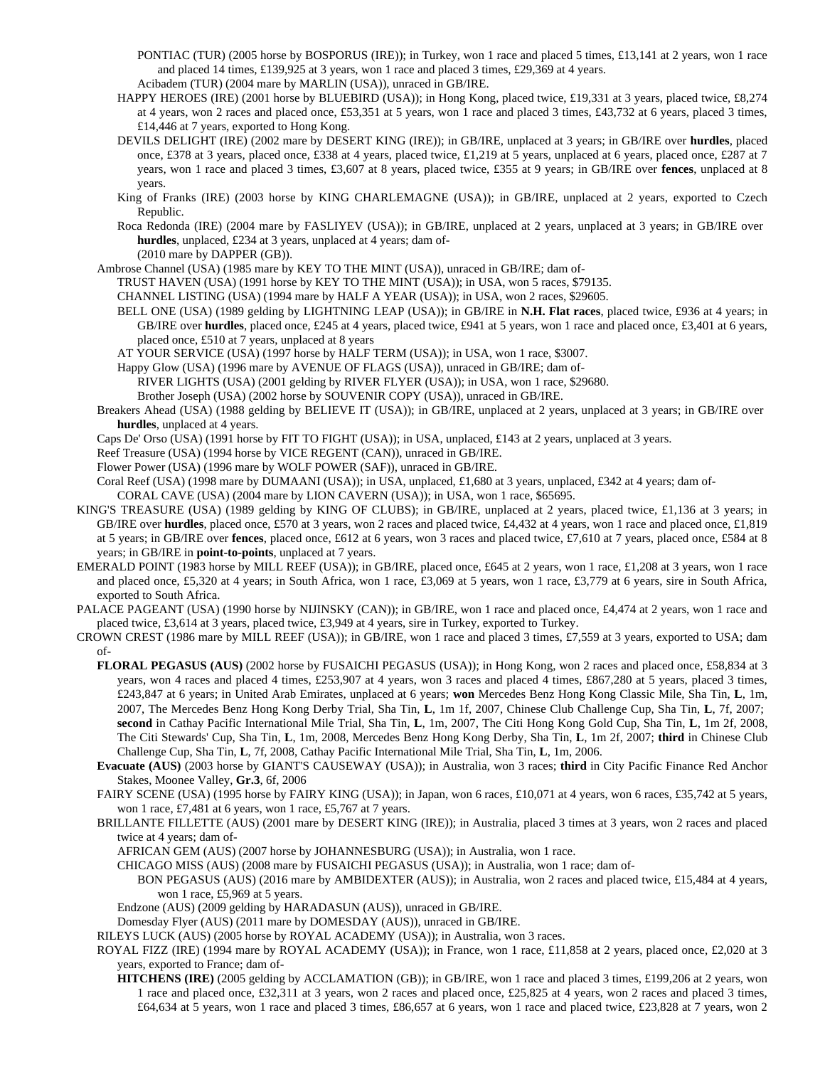- PONTIAC (TUR) (2005 horse by BOSPORUS (IRE)); in Turkey, won 1 race and placed 5 times, £13,141 at 2 years, won 1 race and placed 14 times, £139,925 at 3 years, won 1 race and placed 3 times, £29,369 at 4 years.
- Acibadem (TUR) (2004 mare by MARLIN (USA)), unraced in GB/IRE.
- HAPPY HEROES (IRE) (2001 horse by BLUEBIRD (USA)); in Hong Kong, placed twice, £19,331 at 3 years, placed twice, £8,274 at 4 years, won 2 races and placed once, £53,351 at 5 years, won 1 race and placed 3 times, £43,732 at 6 years, placed 3 times, £14,446 at 7 years, exported to Hong Kong.
- DEVILS DELIGHT (IRE) (2002 mare by DESERT KING (IRE)); in GB/IRE, unplaced at 3 years; in GB/IRE over **hurdles**, placed once, £378 at 3 years, placed once, £338 at 4 years, placed twice, £1,219 at 5 years, unplaced at 6 years, placed once, £287 at 7 years, won 1 race and placed 3 times, £3,607 at 8 years, placed twice, £355 at 9 years; in GB/IRE over **fences**, unplaced at 8 years.
- King of Franks (IRE) (2003 horse by KING CHARLEMAGNE (USA)); in GB/IRE, unplaced at 2 years, exported to Czech Republic.
- Roca Redonda (IRE) (2004 mare by FASLIYEV (USA)); in GB/IRE, unplaced at 2 years, unplaced at 3 years; in GB/IRE over **hurdles**, unplaced, £234 at 3 years, unplaced at 4 years; dam of- (2010 mare by DAPPER (GB)).
- Ambrose Channel (USA) (1985 mare by KEY TO THE MINT (USA)), unraced in GB/IRE; dam of-
	- TRUST HAVEN (USA) (1991 horse by KEY TO THE MINT (USA)); in USA, won 5 races, \$79135.
	- CHANNEL LISTING (USA) (1994 mare by HALF A YEAR (USA)); in USA, won 2 races, \$29605.
	- BELL ONE (USA) (1989 gelding by LIGHTNING LEAP (USA)); in GB/IRE in **N.H. Flat races**, placed twice, £936 at 4 years; in GB/IRE over **hurdles**, placed once, £245 at 4 years, placed twice, £941 at 5 years, won 1 race and placed once, £3,401 at 6 years, placed once, £510 at 7 years, unplaced at 8 years
	- AT YOUR SERVICE (USA) (1997 horse by HALF TERM (USA)); in USA, won 1 race, \$3007.
	- Happy Glow (USA) (1996 mare by AVENUE OF FLAGS (USA)), unraced in GB/IRE; dam of-

RIVER LIGHTS (USA) (2001 gelding by RIVER FLYER (USA)); in USA, won 1 race, \$29680.

- Brother Joseph (USA) (2002 horse by SOUVENIR COPY (USA)), unraced in GB/IRE.
- Breakers Ahead (USA) (1988 gelding by BELIEVE IT (USA)); in GB/IRE, unplaced at 2 years, unplaced at 3 years; in GB/IRE over **hurdles**, unplaced at 4 years.
- Caps De' Orso (USA) (1991 horse by FIT TO FIGHT (USA)); in USA, unplaced, £143 at 2 years, unplaced at 3 years.
- Reef Treasure (USA) (1994 horse by VICE REGENT (CAN)), unraced in GB/IRE.
- Flower Power (USA) (1996 mare by WOLF POWER (SAF)), unraced in GB/IRE.
- Coral Reef (USA) (1998 mare by DUMAANI (USA)); in USA, unplaced, £1,680 at 3 years, unplaced, £342 at 4 years; dam of-

CORAL CAVE (USA) (2004 mare by LION CAVERN (USA)); in USA, won 1 race, \$65695.

- KING'S TREASURE (USA) (1989 gelding by KING OF CLUBS); in GB/IRE, unplaced at 2 years, placed twice, £1,136 at 3 years; in GB/IRE over **hurdles**, placed once, £570 at 3 years, won 2 races and placed twice, £4,432 at 4 years, won 1 race and placed once, £1,819 at 5 years; in GB/IRE over **fences**, placed once, £612 at 6 years, won 3 races and placed twice, £7,610 at 7 years, placed once, £584 at 8 years; in GB/IRE in **point-to-points**, unplaced at 7 years.
- EMERALD POINT (1983 horse by MILL REEF (USA)); in GB/IRE, placed once, £645 at 2 years, won 1 race, £1,208 at 3 years, won 1 race and placed once, £5,320 at 4 years; in South Africa, won 1 race, £3,069 at 5 years, won 1 race, £3,779 at 6 years, sire in South Africa, exported to South Africa.
- PALACE PAGEANT (USA) (1990 horse by NIJINSKY (CAN)); in GB/IRE, won 1 race and placed once, £4,474 at 2 years, won 1 race and placed twice, £3,614 at 3 years, placed twice, £3,949 at 4 years, sire in Turkey, exported to Turkey.
- CROWN CREST (1986 mare by MILL REEF (USA)); in GB/IRE, won 1 race and placed 3 times, £7,559 at 3 years, exported to USA; dam of-
	- **FLORAL PEGASUS (AUS)** (2002 horse by FUSAICHI PEGASUS (USA)); in Hong Kong, won 2 races and placed once, £58,834 at 3 years, won 4 races and placed 4 times, £253,907 at 4 years, won 3 races and placed 4 times, £867,280 at 5 years, placed 3 times, £243,847 at 6 years; in United Arab Emirates, unplaced at 6 years; **won** Mercedes Benz Hong Kong Classic Mile, Sha Tin, **L**, 1m, 2007, The Mercedes Benz Hong Kong Derby Trial, Sha Tin, **L**, 1m 1f, 2007, Chinese Club Challenge Cup, Sha Tin, **L**, 7f, 2007; **second** in Cathay Pacific International Mile Trial, Sha Tin, **L**, 1m, 2007, The Citi Hong Kong Gold Cup, Sha Tin, **L**, 1m 2f, 2008, The Citi Stewards' Cup, Sha Tin, **L**, 1m, 2008, Mercedes Benz Hong Kong Derby, Sha Tin, **L**, 1m 2f, 2007; **third** in Chinese Club Challenge Cup, Sha Tin, **L**, 7f, 2008, Cathay Pacific International Mile Trial, Sha Tin, **L**, 1m, 2006.
	- **Evacuate (AUS)** (2003 horse by GIANT'S CAUSEWAY (USA)); in Australia, won 3 races; **third** in City Pacific Finance Red Anchor Stakes, Moonee Valley, **Gr.3**, 6f, 2006
	- FAIRY SCENE (USA) (1995 horse by FAIRY KING (USA)); in Japan, won 6 races, £10,071 at 4 years, won 6 races, £35,742 at 5 years, won 1 race, £7,481 at 6 years, won 1 race, £5,767 at 7 years.
	- BRILLANTE FILLETTE (AUS) (2001 mare by DESERT KING (IRE)); in Australia, placed 3 times at 3 years, won 2 races and placed twice at 4 years; dam of-
		- AFRICAN GEM (AUS) (2007 horse by JOHANNESBURG (USA)); in Australia, won 1 race.
		- CHICAGO MISS (AUS) (2008 mare by FUSAICHI PEGASUS (USA)); in Australia, won 1 race; dam of-
		- BON PEGASUS (AUS) (2016 mare by AMBIDEXTER (AUS)); in Australia, won 2 races and placed twice, £15,484 at 4 years, won 1 race, £5,969 at 5 years.
		- Endzone (AUS) (2009 gelding by HARADASUN (AUS)), unraced in GB/IRE.
		- Domesday Flyer (AUS) (2011 mare by DOMESDAY (AUS)), unraced in GB/IRE.
	- RILEYS LUCK (AUS) (2005 horse by ROYAL ACADEMY (USA)); in Australia, won 3 races.
	- ROYAL FIZZ (IRE) (1994 mare by ROYAL ACADEMY (USA)); in France, won 1 race, £11,858 at 2 years, placed once, £2,020 at 3 years, exported to France; dam of-
		- **HITCHENS (IRE)** (2005 gelding by ACCLAMATION (GB)); in GB/IRE, won 1 race and placed 3 times, £199,206 at 2 years, won 1 race and placed once, £32,311 at 3 years, won 2 races and placed once, £25,825 at 4 years, won 2 races and placed 3 times, £64,634 at 5 years, won 1 race and placed 3 times, £86,657 at 6 years, won 1 race and placed twice, £23,828 at 7 years, won 2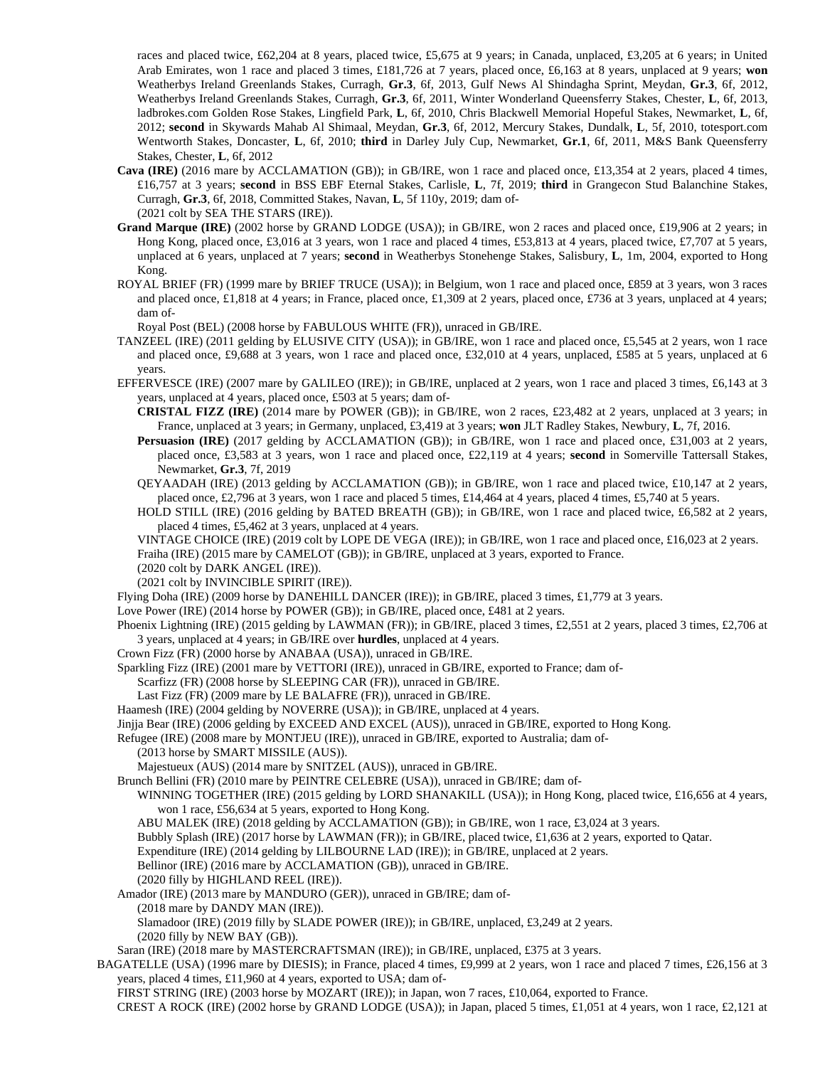races and placed twice, £62,204 at 8 years, placed twice, £5,675 at 9 years; in Canada, unplaced, £3,205 at 6 years; in United Arab Emirates, won 1 race and placed 3 times, £181,726 at 7 years, placed once, £6,163 at 8 years, unplaced at 9 years; **won** Weatherbys Ireland Greenlands Stakes, Curragh, **Gr.3**, 6f, 2013, Gulf News Al Shindagha Sprint, Meydan, **Gr.3**, 6f, 2012, Weatherbys Ireland Greenlands Stakes, Curragh, **Gr.3**, 6f, 2011, Winter Wonderland Queensferry Stakes, Chester, **L**, 6f, 2013, ladbrokes.com Golden Rose Stakes, Lingfield Park, **L**, 6f, 2010, Chris Blackwell Memorial Hopeful Stakes, Newmarket, **L**, 6f, 2012; **second** in Skywards Mahab Al Shimaal, Meydan, **Gr.3**, 6f, 2012, Mercury Stakes, Dundalk, **L**, 5f, 2010, totesport.com Wentworth Stakes, Doncaster, **L**, 6f, 2010; **third** in Darley July Cup, Newmarket, **Gr.1**, 6f, 2011, M&S Bank Queensferry Stakes, Chester, **L**, 6f, 2012

- **Cava (IRE)** (2016 mare by ACCLAMATION (GB)); in GB/IRE, won 1 race and placed once, £13,354 at 2 years, placed 4 times, £16,757 at 3 years; **second** in BSS EBF Eternal Stakes, Carlisle, **L**, 7f, 2019; **third** in Grangecon Stud Balanchine Stakes, Curragh, **Gr.3**, 6f, 2018, Committed Stakes, Navan, **L**, 5f 110y, 2019; dam of- (2021 colt by SEA THE STARS (IRE)).
- **Grand Marque (IRE)** (2002 horse by GRAND LODGE (USA)); in GB/IRE, won 2 races and placed once, £19,906 at 2 years; in Hong Kong, placed once, £3,016 at 3 years, won 1 race and placed 4 times, £53,813 at 4 years, placed twice, £7,707 at 5 years, unplaced at 6 years, unplaced at 7 years; **second** in Weatherbys Stonehenge Stakes, Salisbury, **L**, 1m, 2004, exported to Hong Kong.
- ROYAL BRIEF (FR) (1999 mare by BRIEF TRUCE (USA)); in Belgium, won 1 race and placed once, £859 at 3 years, won 3 races and placed once, £1,818 at 4 years; in France, placed once, £1,309 at 2 years, placed once, £736 at 3 years, unplaced at 4 years; dam of-

Royal Post (BEL) (2008 horse by FABULOUS WHITE (FR)), unraced in GB/IRE.

- TANZEEL (IRE) (2011 gelding by ELUSIVE CITY (USA)); in GB/IRE, won 1 race and placed once, £5,545 at 2 years, won 1 race and placed once, £9,688 at 3 years, won 1 race and placed once, £32,010 at 4 years, unplaced, £585 at 5 years, unplaced at 6 years.
- EFFERVESCE (IRE) (2007 mare by GALILEO (IRE)); in GB/IRE, unplaced at 2 years, won 1 race and placed 3 times, £6,143 at 3 years, unplaced at 4 years, placed once, £503 at 5 years; dam of-
	- **CRISTAL FIZZ (IRE)** (2014 mare by POWER (GB)); in GB/IRE, won 2 races, £23,482 at 2 years, unplaced at 3 years; in France, unplaced at 3 years; in Germany, unplaced, £3,419 at 3 years; **won** JLT Radley Stakes, Newbury, **L**, 7f, 2016.
	- **Persuasion (IRE)** (2017 gelding by ACCLAMATION (GB)); in GB/IRE, won 1 race and placed once, £31,003 at 2 years, placed once, £3,583 at 3 years, won 1 race and placed once, £22,119 at 4 years; **second** in Somerville Tattersall Stakes, Newmarket, **Gr.3**, 7f, 2019
	- QEYAADAH (IRE) (2013 gelding by ACCLAMATION (GB)); in GB/IRE, won 1 race and placed twice, £10,147 at 2 years, placed once, £2,796 at 3 years, won 1 race and placed 5 times, £14,464 at 4 years, placed 4 times, £5,740 at 5 years.

HOLD STILL (IRE) (2016 gelding by BATED BREATH (GB)); in GB/IRE, won 1 race and placed twice, £6,582 at 2 years, placed 4 times, £5,462 at 3 years, unplaced at 4 years.

VINTAGE CHOICE (IRE) (2019 colt by LOPE DE VEGA (IRE)); in GB/IRE, won 1 race and placed once, £16,023 at 2 years. Fraiha (IRE) (2015 mare by CAMELOT (GB)); in GB/IRE, unplaced at 3 years, exported to France.

(2020 colt by DARK ANGEL (IRE)).

(2021 colt by INVINCIBLE SPIRIT (IRE)).

Flying Doha (IRE) (2009 horse by DANEHILL DANCER (IRE)); in GB/IRE, placed 3 times, £1,779 at 3 years.

Love Power (IRE) (2014 horse by POWER (GB)); in GB/IRE, placed once, £481 at 2 years.

- Phoenix Lightning (IRE) (2015 gelding by LAWMAN (FR)); in GB/IRE, placed 3 times, £2,551 at 2 years, placed 3 times, £2,706 at 3 years, unplaced at 4 years; in GB/IRE over **hurdles**, unplaced at 4 years.
- Crown Fizz (FR) (2000 horse by ANABAA (USA)), unraced in GB/IRE.
- Sparkling Fizz (IRE) (2001 mare by VETTORI (IRE)), unraced in GB/IRE, exported to France; dam of-
	- Scarfizz (FR) (2008 horse by SLEEPING CAR (FR)), unraced in GB/IRE.

Last Fizz (FR) (2009 mare by LE BALAFRE (FR)), unraced in GB/IRE.

Haamesh (IRE) (2004 gelding by NOVERRE (USA)); in GB/IRE, unplaced at 4 years.

Jinjja Bear (IRE) (2006 gelding by EXCEED AND EXCEL (AUS)), unraced in GB/IRE, exported to Hong Kong.

Refugee (IRE) (2008 mare by MONTJEU (IRE)), unraced in GB/IRE, exported to Australia; dam of-

(2013 horse by SMART MISSILE (AUS)).

Majestueux (AUS) (2014 mare by SNITZEL (AUS)), unraced in GB/IRE.

Brunch Bellini (FR) (2010 mare by PEINTRE CELEBRE (USA)), unraced in GB/IRE; dam of-

WINNING TOGETHER (IRE) (2015 gelding by LORD SHANAKILL (USA)); in Hong Kong, placed twice, £16,656 at 4 years, won 1 race, £56,634 at 5 years, exported to Hong Kong.

ABU MALEK (IRE) (2018 gelding by ACCLAMATION (GB)); in GB/IRE, won 1 race, £3,024 at 3 years.

Bubbly Splash (IRE) (2017 horse by LAWMAN (FR)); in GB/IRE, placed twice, £1,636 at 2 years, exported to Qatar.

Expenditure (IRE) (2014 gelding by LILBOURNE LAD (IRE)); in GB/IRE, unplaced at 2 years.

Bellinor (IRE) (2016 mare by ACCLAMATION (GB)), unraced in GB/IRE.

(2020 filly by HIGHLAND REEL (IRE)).

Amador (IRE) (2013 mare by MANDURO (GER)), unraced in GB/IRE; dam of-

(2018 mare by DANDY MAN (IRE)).

Slamadoor (IRE) (2019 filly by SLADE POWER (IRE)); in GB/IRE, unplaced, £3,249 at 2 years.

(2020 filly by NEW BAY (GB)).

Saran (IRE) (2018 mare by MASTERCRAFTSMAN (IRE)); in GB/IRE, unplaced, £375 at 3 years.

BAGATELLE (USA) (1996 mare by DIESIS); in France, placed 4 times, £9,999 at 2 years, won 1 race and placed 7 times, £26,156 at 3 years, placed 4 times, £11,960 at 4 years, exported to USA; dam of-

FIRST STRING (IRE) (2003 horse by MOZART (IRE)); in Japan, won 7 races, £10,064, exported to France.

CREST A ROCK (IRE) (2002 horse by GRAND LODGE (USA)); in Japan, placed 5 times, £1,051 at 4 years, won 1 race, £2,121 at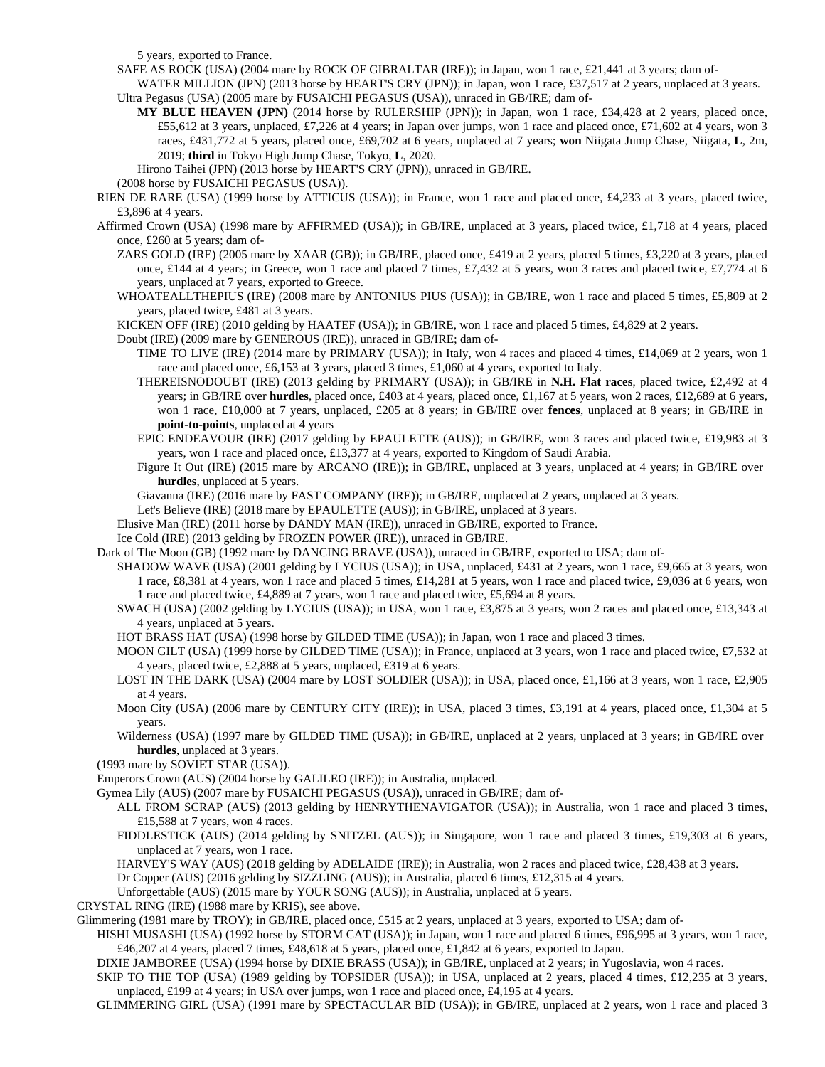5 years, exported to France.

SAFE AS ROCK (USA) (2004 mare by ROCK OF GIBRALTAR (IRE)); in Japan, won 1 race, £21,441 at 3 years; dam of-

- WATER MILLION (JPN) (2013 horse by HEART'S CRY (JPN)); in Japan, won 1 race, £37,517 at 2 years, unplaced at 3 years. Ultra Pegasus (USA) (2005 mare by FUSAICHI PEGASUS (USA)), unraced in GB/IRE; dam of-
	- **MY BLUE HEAVEN (JPN)** (2014 horse by RULERSHIP (JPN)); in Japan, won 1 race, £34,428 at 2 years, placed once, £55,612 at 3 years, unplaced, £7,226 at 4 years; in Japan over jumps, won 1 race and placed once, £71,602 at 4 years, won 3 races, £431,772 at 5 years, placed once, £69,702 at 6 years, unplaced at 7 years; **won** Niigata Jump Chase, Niigata, **L**, 2m, 2019; **third** in Tokyo High Jump Chase, Tokyo, **L**, 2020.

Hirono Taihei (JPN) (2013 horse by HEART'S CRY (JPN)), unraced in GB/IRE.

(2008 horse by FUSAICHI PEGASUS (USA)).

- RIEN DE RARE (USA) (1999 horse by ATTICUS (USA)); in France, won 1 race and placed once, £4,233 at 3 years, placed twice, £3,896 at 4 years.
- Affirmed Crown (USA) (1998 mare by AFFIRMED (USA)); in GB/IRE, unplaced at 3 years, placed twice, £1,718 at 4 years, placed once, £260 at 5 years; dam of-
	- ZARS GOLD (IRE) (2005 mare by XAAR (GB)); in GB/IRE, placed once, £419 at 2 years, placed 5 times, £3,220 at 3 years, placed once, £144 at 4 years; in Greece, won 1 race and placed 7 times, £7,432 at 5 years, won 3 races and placed twice, £7,774 at 6 years, unplaced at 7 years, exported to Greece.
	- WHOATEALLTHEPIUS (IRE) (2008 mare by ANTONIUS PIUS (USA)); in GB/IRE, won 1 race and placed 5 times, £5,809 at 2 years, placed twice, £481 at 3 years.

KICKEN OFF (IRE) (2010 gelding by HAATEF (USA)); in GB/IRE, won 1 race and placed 5 times, £4,829 at 2 years.

Doubt (IRE) (2009 mare by GENEROUS (IRE)), unraced in GB/IRE; dam of-

- TIME TO LIVE (IRE) (2014 mare by PRIMARY (USA)); in Italy, won 4 races and placed 4 times, £14,069 at 2 years, won 1 race and placed once, £6,153 at 3 years, placed 3 times, £1,060 at 4 years, exported to Italy.
- THEREISNODOUBT (IRE) (2013 gelding by PRIMARY (USA)); in GB/IRE in **N.H. Flat races**, placed twice, £2,492 at 4 years; in GB/IRE over **hurdles**, placed once, £403 at 4 years, placed once, £1,167 at 5 years, won 2 races, £12,689 at 6 years, won 1 race, £10,000 at 7 years, unplaced, £205 at 8 years; in GB/IRE over **fences**, unplaced at 8 years; in GB/IRE in **point-to-points**, unplaced at 4 years
- EPIC ENDEAVOUR (IRE) (2017 gelding by EPAULETTE (AUS)); in GB/IRE, won 3 races and placed twice, £19,983 at 3 years, won 1 race and placed once, £13,377 at 4 years, exported to Kingdom of Saudi Arabia.
- Figure It Out (IRE) (2015 mare by ARCANO (IRE)); in GB/IRE, unplaced at 3 years, unplaced at 4 years; in GB/IRE over **hurdles**, unplaced at 5 years.

Giavanna (IRE) (2016 mare by FAST COMPANY (IRE)); in GB/IRE, unplaced at 2 years, unplaced at 3 years.

Let's Believe (IRE) (2018 mare by EPAULETTE (AUS)); in GB/IRE, unplaced at 3 years.

Elusive Man (IRE) (2011 horse by DANDY MAN (IRE)), unraced in GB/IRE, exported to France.

- Ice Cold (IRE) (2013 gelding by FROZEN POWER (IRE)), unraced in GB/IRE.
- Dark of The Moon (GB) (1992 mare by DANCING BRAVE (USA)), unraced in GB/IRE, exported to USA; dam of-
	- SHADOW WAVE (USA) (2001 gelding by LYCIUS (USA)); in USA, unplaced, £431 at 2 years, won 1 race, £9,665 at 3 years, won 1 race, £8,381 at 4 years, won 1 race and placed 5 times, £14,281 at 5 years, won 1 race and placed twice, £9,036 at 6 years, won 1 race and placed twice, £4,889 at 7 years, won 1 race and placed twice, £5,694 at 8 years.
	- SWACH (USA) (2002 gelding by LYCIUS (USA)); in USA, won 1 race, £3,875 at 3 years, won 2 races and placed once, £13,343 at 4 years, unplaced at 5 years.
	- HOT BRASS HAT (USA) (1998 horse by GILDED TIME (USA)); in Japan, won 1 race and placed 3 times.
	- MOON GILT (USA) (1999 horse by GILDED TIME (USA)); in France, unplaced at 3 years, won 1 race and placed twice, £7,532 at 4 years, placed twice, £2,888 at 5 years, unplaced, £319 at 6 years.
	- LOST IN THE DARK (USA) (2004 mare by LOST SOLDIER (USA)); in USA, placed once, £1,166 at 3 years, won 1 race, £2,905 at 4 years.
	- Moon City (USA) (2006 mare by CENTURY CITY (IRE)); in USA, placed 3 times, £3,191 at 4 years, placed once, £1,304 at 5 years.
	- Wilderness (USA) (1997 mare by GILDED TIME (USA)); in GB/IRE, unplaced at 2 years, unplaced at 3 years; in GB/IRE over **hurdles**, unplaced at 3 years.
- (1993 mare by SOVIET STAR (USA)).
- Emperors Crown (AUS) (2004 horse by GALILEO (IRE)); in Australia, unplaced.
- Gymea Lily (AUS) (2007 mare by FUSAICHI PEGASUS (USA)), unraced in GB/IRE; dam of-
	- ALL FROM SCRAP (AUS) (2013 gelding by HENRYTHENAVIGATOR (USA)); in Australia, won 1 race and placed 3 times, £15,588 at 7 years, won 4 races.
	- FIDDLESTICK (AUS) (2014 gelding by SNITZEL (AUS)); in Singapore, won 1 race and placed 3 times, £19,303 at 6 years, unplaced at 7 years, won 1 race.
	- HARVEY'S WAY (AUS) (2018 gelding by ADELAIDE (IRE)); in Australia, won 2 races and placed twice, £28,438 at 3 years.

Dr Copper (AUS) (2016 gelding by SIZZLING (AUS)); in Australia, placed 6 times, £12,315 at 4 years.

Unforgettable (AUS) (2015 mare by YOUR SONG (AUS)); in Australia, unplaced at 5 years.

CRYSTAL RING (IRE) (1988 mare by KRIS), see above.

Glimmering (1981 mare by TROY); in GB/IRE, placed once, £515 at 2 years, unplaced at 3 years, exported to USA; dam of-

- HISHI MUSASHI (USA) (1992 horse by STORM CAT (USA)); in Japan, won 1 race and placed 6 times, £96,995 at 3 years, won 1 race, £46,207 at 4 years, placed 7 times, £48,618 at 5 years, placed once, £1,842 at 6 years, exported to Japan.
- DIXIE JAMBOREE (USA) (1994 horse by DIXIE BRASS (USA)); in GB/IRE, unplaced at 2 years; in Yugoslavia, won 4 races.

SKIP TO THE TOP (USA) (1989 gelding by TOPSIDER (USA)); in USA, unplaced at 2 years, placed 4 times, £12,235 at 3 years, unplaced, £199 at 4 years; in USA over jumps, won 1 race and placed once, £4,195 at 4 years.

GLIMMERING GIRL (USA) (1991 mare by SPECTACULAR BID (USA)); in GB/IRE, unplaced at 2 years, won 1 race and placed 3